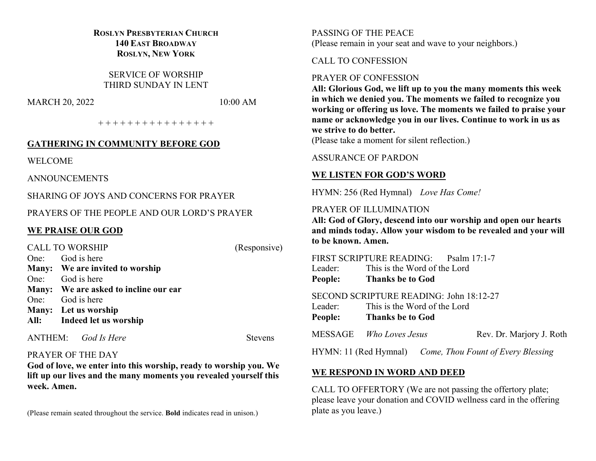# **ROSLYN PRESBYTERIAN CHURCH 140 EAST BROADWAY ROSLYN, NEW YORK**

SERVICE OF WORSHIP THIRD SUNDAY IN LENT

MARCH 20, 2022 10:00 AM

+ + + + + + + + + + + + + + + +

# **GATHERING IN COMMUNITY BEFORE GOD**

WELCOME

ANNOUNCEMENTS

SHARING OF JOYS AND CONCERNS FOR PRAYER

PRAYERS OF THE PEOPLE AND OUR LORD'S PRAYER

# **WE PRAISE OUR GOD**

| <b>CALL TO WORSHIP</b> |                                       | (Responsive) |
|------------------------|---------------------------------------|--------------|
|                        | One: God is here                      |              |
|                        | Many: We are invited to worship       |              |
|                        | One: God is here                      |              |
|                        | Many: We are asked to incline our ear |              |
|                        | One: God is here                      |              |
|                        | Many: Let us worship                  |              |
|                        | All: Indeed let us worship            |              |
|                        |                                       |              |

ANTHEM: *God Is Here* Stevens

## PRAYER OF THE DAY

**God of love, we enter into this worship, ready to worship you. We lift up our lives and the many moments you revealed yourself this week. Amen.**

(Please remain seated throughout the service. **Bold** indicates read in unison.)

PASSING OF THE PEACE (Please remain in your seat and wave to your neighbors.)

# CALL TO CONFESSION

## PRAYER OF CONFESSION

**All: Glorious God, we lift up to you the many moments this week in which we denied you. The moments we failed to recognize you working or offering us love. The moments we failed to praise your name or acknowledge you in our lives. Continue to work in us as we strive to do better.**

(Please take a moment for silent reflection.)

# ASSURANCE OF PARDON

# **WE LISTEN FOR GOD'S WORD**

HYMN: 256 (Red Hymnal) *Love Has Come!*

#### PRAYER OF ILLUMINATION

**All: God of Glory, descend into our worship and open our hearts and minds today. Allow your wisdom to be revealed and your will to be known. Amen.**

FIRST SCRIPTURE READING: Psalm 17:1-7 Leader: This is the Word of the Lord **People: Thanks be to God**

SECOND SCRIPTURE READING: John 18:12-27 Leader: This is the Word of the Lord **People: Thanks be to God**

MESSAGE *Who Loves Jesus* Rev. Dr. Marjory J. Roth

HYMN: 11 (Red Hymnal) *Come, Thou Fount of Every Blessing*

# **WE RESPOND IN WORD AND DEED**

CALL TO OFFERTORY (We are not passing the offertory plate; please leave your donation and COVID wellness card in the offering plate as you leave.)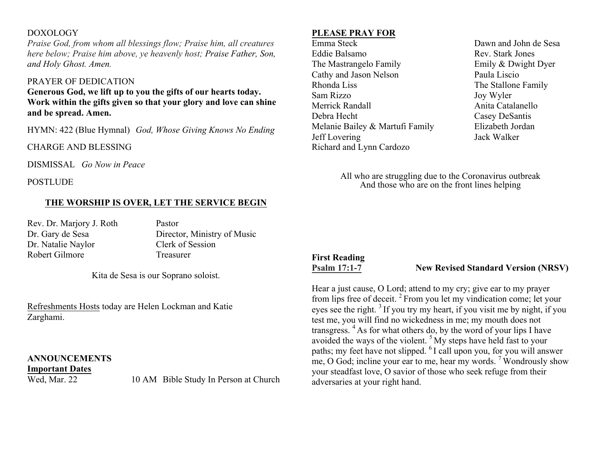# DOXOLOGY

*Praise God, from whom all blessings flow; Praise him, all creatures here below; Praise him above, ye heavenly host; Praise Father, Son, and Holy Ghost. Amen.*

## PRAYER OF DEDICATION

**Generous God, we lift up to you the gifts of our hearts today. Work within the gifts given so that your glory and love can shine and be spread. Amen.**

HYMN: 422 (Blue Hymnal) *God, Whose Giving Knows No Ending*

CHARGE AND BLESSING

DISMISSAL *Go Now in Peace*

POSTLUDE

# **THE WORSHIP IS OVER, LET THE SERVICE BEGIN**

Rev. Dr. Marjory J. Roth Pastor Dr. Natalie Naylor Clerk of Session Robert Gilmore Treasurer

Dr. Gary de Sesa Director, Ministry of Music

Kita de Sesa is our Soprano soloist.

Refreshments Hosts today are Helen Lockman and Katie Zarghami.

# **ANNOUNCEMENTS**

**Important Dates**

Wed, Mar. 22 10 AM Bible Study In Person at Church

# **PLEASE PRAY FOR**

Emma Steck Dawn and John de Sesa Eddie Balsamo Rev. Stark Jones The Mastrangelo Family **Emily & Dwight Dyer** Cathy and Jason Nelson Paula Liscio Rhonda Liss The Stallone Family Sam Rizzo Joy Wyler Merrick Randall **Anita Catalanello** Anita Catalanello Debra Hecht Casey DeSantis Melanie Bailey & Martufi Family Elizabeth Jordan Jeff Lovering Jack Walker Richard and Lynn Cardozo

All who are struggling due to the Coronavirus outbreak And those who are on the front lines helping

# **First Reading**

**Psalm 17:1-7 New Revised Standard Version (NRSV)**

Hear a just cause, O Lord; attend to my cry; give ear to my prayer from lips free of deceit. <sup>2</sup> From you let my vindication come; let your eyes see the right.<sup>3</sup> If you try my heart, if you visit me by night, if you test me, you will find no wickedness in me; my mouth does not transgress. <sup>4</sup> As for what others do, by the word of your lips I have avoided the ways of the violent. <sup>5</sup> My steps have held fast to your paths; my feet have not slipped. <sup>6</sup> I call upon you, for you will answer me, O God; incline your ear to me, hear my words.  $\frac{7}{3}$  Wondrously show your steadfast love, O savior of those who seek refuge from their adversaries at your right hand.